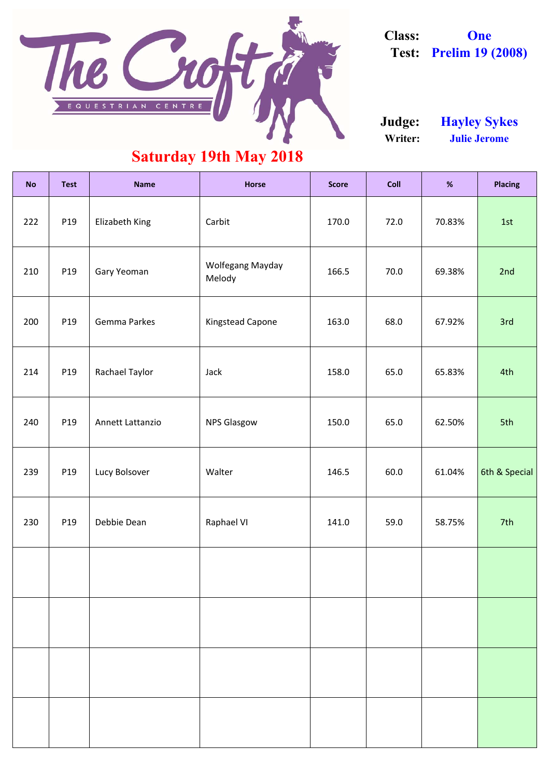| <b>No</b> | <b>Test</b> | <b>Name</b>         | <b>Horse</b>                      | <b>Score</b> | <b>Coll</b> | %      | <b>Placing</b> |
|-----------|-------------|---------------------|-----------------------------------|--------------|-------------|--------|----------------|
| 222       | P19         | Elizabeth King      | Carbit                            | 170.0        | 72.0        | 70.83% | 1st            |
| 210       | P19         | Gary Yeoman         | <b>Wolfegang Mayday</b><br>Melody | 166.5        | 70.0        | 69.38% | 2nd            |
| 200       | P19         | <b>Gemma Parkes</b> | <b>Kingstead Capone</b>           | 163.0        | 68.0        | 67.92% | 3rd            |
| 214       | P19         | Rachael Taylor      | Jack                              | 158.0        | 65.0        | 65.83% | 4th            |
| 240       | P19         | Annett Lattanzio    | <b>NPS Glasgow</b>                | 150.0        | 65.0        | 62.50% | 5th            |
| 239       | P19         | Lucy Bolsover       | Walter                            | 146.5        | 60.0        | 61.04% | 6th & Special  |
| 230       | P19         | Debbie Dean         | <b>Raphael VI</b>                 | 141.0        | 59.0        | 58.75% | 7th            |
|           |             |                     |                                   |              |             |        |                |
|           |             |                     |                                   |              |             |        |                |
|           |             |                     |                                   |              |             |        |                |
|           |             |                     |                                   |              |             |        |                |

**Writer: Julie Jerome Judge: Hayley Sykes**

#### **Saturday 19th May 2018**



**Class: One Test: Prelim 19 (2008)**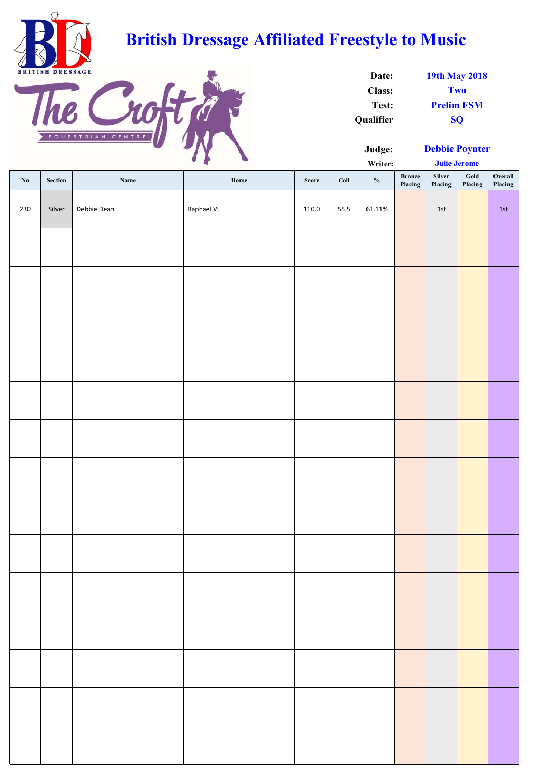| Date:            | <b>19th May 2018</b> |
|------------------|----------------------|
| <b>Class:</b>    | Two                  |
| Test:            | <b>Prelim FSM</b>    |
| <b>Qualifier</b> | <b>SO</b>            |

|                        |         |             | $\bullet$<br><b>Service Construction</b> |       | Writer: |               |                          | <b>Julie Jerome</b> |                            |                    |
|------------------------|---------|-------------|------------------------------------------|-------|---------|---------------|--------------------------|---------------------|----------------------------|--------------------|
| $\mathbf{N}\mathbf{0}$ | Section | Name        | Horse                                    | Score | Coll    | $\frac{1}{2}$ | <b>Bronze</b><br>Placing | Silver<br>Placing   | $\mathbf{Gold}$<br>Placing | Overall<br>Placing |
| 230                    | Silver  | Debbie Dean | Raphael VI                               | 110.0 | 55.5    | 61.11%        |                          | $1st$               |                            | $1st$              |
|                        |         |             |                                          |       |         |               |                          |                     |                            |                    |
|                        |         |             |                                          |       |         |               |                          |                     |                            |                    |
|                        |         |             |                                          |       |         |               |                          |                     |                            |                    |
|                        |         |             |                                          |       |         |               |                          |                     |                            |                    |
|                        |         |             |                                          |       |         |               |                          |                     |                            |                    |
|                        |         |             |                                          |       |         |               |                          |                     |                            |                    |
|                        |         |             |                                          |       |         |               |                          |                     |                            |                    |
|                        |         |             |                                          |       |         |               |                          |                     |                            |                    |
|                        |         |             |                                          |       |         |               |                          |                     |                            |                    |
|                        |         |             |                                          |       |         |               |                          |                     |                            |                    |
|                        |         |             |                                          |       |         |               |                          |                     |                            |                    |
|                        |         |             |                                          |       |         |               |                          |                     |                            |                    |
|                        |         |             |                                          |       |         |               |                          |                     |                            |                    |
|                        |         |             |                                          |       |         |               |                          |                     |                            |                    |



## **British Dressage Affiliated Freestyle to Music**



**Debbie Poynter**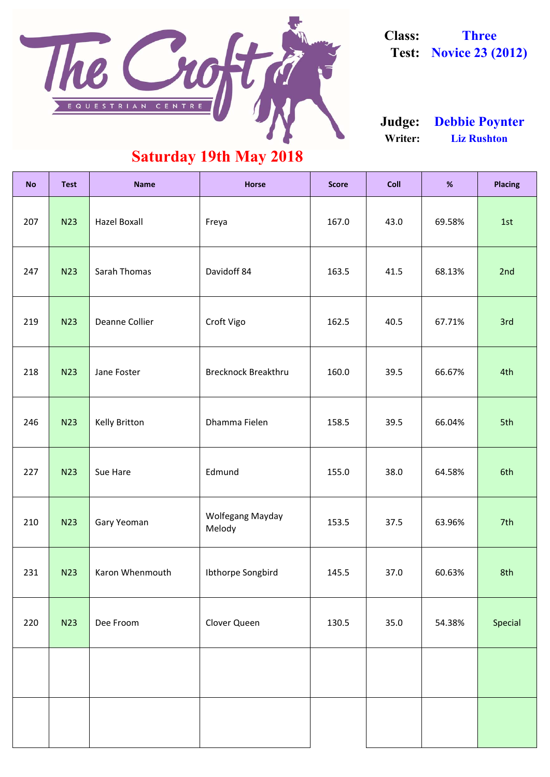| <b>No</b> | <b>Test</b> | <b>Name</b>           | <b>Horse</b>                      | <b>Score</b> | <b>Coll</b> | %      | <b>Placing</b> |
|-----------|-------------|-----------------------|-----------------------------------|--------------|-------------|--------|----------------|
| 207       | <b>N23</b>  | <b>Hazel Boxall</b>   | Freya                             | 167.0        | 43.0        | 69.58% | 1st            |
| 247       | <b>N23</b>  | Sarah Thomas          | Davidoff 84                       | 163.5        | 41.5        | 68.13% | 2nd            |
| 219       | <b>N23</b>  | <b>Deanne Collier</b> | Croft Vigo                        | 162.5        | 40.5        | 67.71% | 3rd            |
| 218       | <b>N23</b>  | Jane Foster           | <b>Brecknock Breakthru</b>        | 160.0        | 39.5        | 66.67% | 4th            |
| 246       | <b>N23</b>  | <b>Kelly Britton</b>  | Dhamma Fielen                     | 158.5        | 39.5        | 66.04% | 5th            |
| 227       | <b>N23</b>  | Sue Hare              | Edmund                            | 155.0        | 38.0        | 64.58% | 6th            |
| 210       | <b>N23</b>  | Gary Yeoman           | <b>Wolfegang Mayday</b><br>Melody | 153.5        | 37.5        | 63.96% | 7th            |
| 231       | <b>N23</b>  | Karon Whenmouth       | Ibthorpe Songbird                 | 145.5        | 37.0        | 60.63% | 8th            |
| 220       | <b>N23</b>  | Dee Froom             | Clover Queen                      | 130.5        | 35.0        | 54.38% | Special        |
|           |             |                       |                                   |              |             |        |                |
|           |             |                       |                                   |              |             |        |                |

#### **Saturday 19th May 2018**

**Writer: Liz Rushton Judge: Debbie Poynter**



**Class: Three Test: Novice 23 (2012)**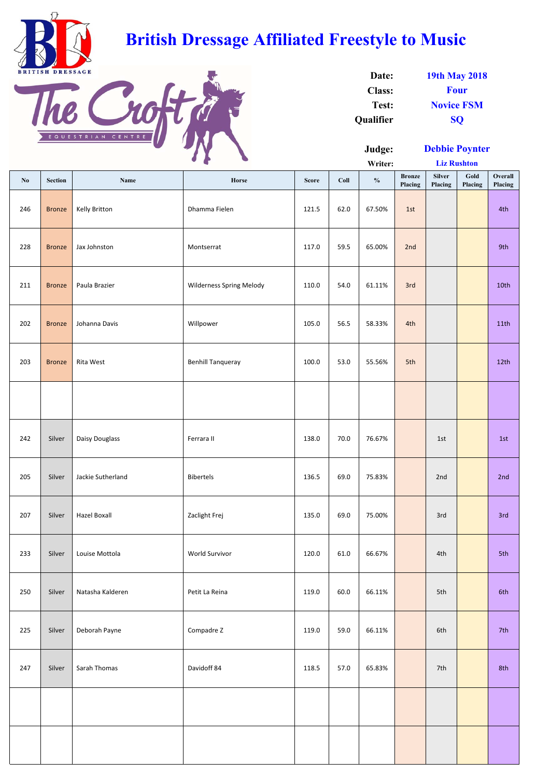|     |                |                     | $\bullet$<br>$\bullet$          |              |      | Writer:       |                          | <b>Liz Rushton</b>       |                 |                    |
|-----|----------------|---------------------|---------------------------------|--------------|------|---------------|--------------------------|--------------------------|-----------------|--------------------|
| No  | <b>Section</b> | Name                | Horse                           | <b>Score</b> | Coll | $\frac{0}{0}$ | <b>Bronze</b><br>Placing | <b>Silver</b><br>Placing | Gold<br>Placing | Overall<br>Placing |
| 246 | <b>Bronze</b>  | Kelly Britton       | Dhamma Fielen                   | 121.5        | 62.0 | 67.50%        | 1st                      |                          |                 | 4th                |
| 228 | <b>Bronze</b>  | Jax Johnston        | Montserrat                      | 117.0        | 59.5 | 65.00%        | 2nd                      |                          |                 | 9th                |
| 211 | <b>Bronze</b>  | Paula Brazier       | <b>Wilderness Spring Melody</b> | 110.0        | 54.0 | 61.11%        | 3rd                      |                          |                 | 10th               |
| 202 | <b>Bronze</b>  | Johanna Davis       | Willpower                       | 105.0        | 56.5 | 58.33%        | 4th                      |                          |                 | 11th               |
| 203 | <b>Bronze</b>  | Rita West           | <b>Benhill Tanqueray</b>        | 100.0        | 53.0 | 55.56%        | 5th                      |                          |                 | 12th               |
|     |                |                     |                                 |              |      |               |                          |                          |                 |                    |
| 242 | Silver         | Daisy Douglass      | Ferrara II                      | 138.0        | 70.0 | 76.67%        |                          | 1st                      |                 | 1st                |
| 205 | Silver         | Jackie Sutherland   | <b>Bibertels</b>                | 136.5        | 69.0 | 75.83%        |                          | 2nd                      |                 | 2nd                |
| 207 | Silver         | <b>Hazel Boxall</b> | Zaclight Frej                   | 135.0        | 69.0 | 75.00%        |                          | 3rd                      |                 | 3rd                |
| 233 | Silver         | Louise Mottola      | World Survivor                  | 120.0        | 61.0 | 66.67%        |                          | 4th                      |                 | 5th                |
| 250 | Silver         | Natasha Kalderen    | Petit La Reina                  | 119.0        | 60.0 | 66.11%        |                          | 5th                      |                 | 6th                |
| 225 | Silver         | Deborah Payne       | Compadre Z                      | 119.0        | 59.0 | 66.11%        |                          | 6th                      |                 | 7th                |
| 247 | Silver         | Sarah Thomas        | Davidoff 84                     | 118.5        | 57.0 | 65.83%        |                          | 7th                      |                 | 8th                |
|     |                |                     |                                 |              |      |               |                          |                          |                 |                    |
|     |                |                     |                                 |              |      |               |                          |                          |                 |                    |

| Date:            | <b>19th May 2018</b> |
|------------------|----------------------|
| <b>Class:</b>    | <b>Four</b>          |
| Test:            | <b>Novice FSM</b>    |
| <b>Qualifier</b> | <b>SO</b>            |



## **British Dressage Affiliated Freestyle to Music**



**Debbie Poynter**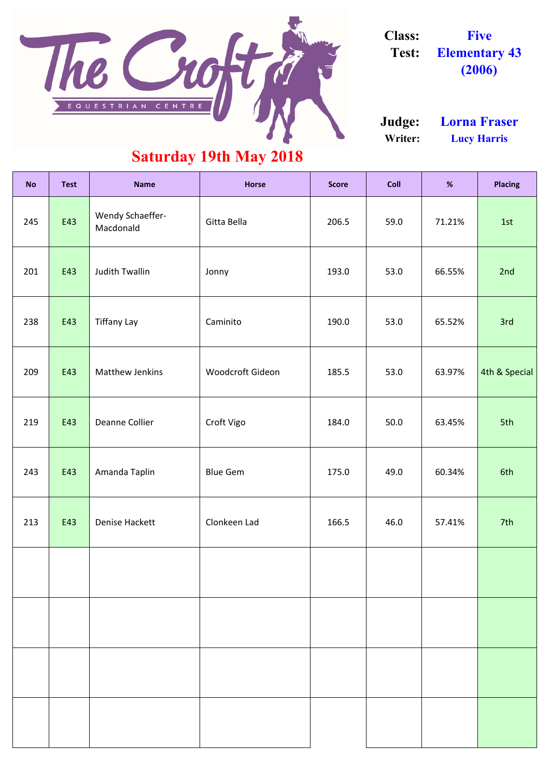| <b>No</b> | <b>Test</b> | <b>Name</b>                   | <b>Horse</b>            | <b>Score</b> | <b>Coll</b> | %      | <b>Placing</b> |
|-----------|-------------|-------------------------------|-------------------------|--------------|-------------|--------|----------------|
| 245       | E43         | Wendy Schaeffer-<br>Macdonald | Gitta Bella             | 206.5        | 59.0        | 71.21% | 1st            |
| 201       | E43         | <b>Judith Twallin</b>         | Jonny                   | 193.0        | 53.0        | 66.55% | 2nd            |
| 238       | E43         | <b>Tiffany Lay</b>            | Caminito                | 190.0        | 53.0        | 65.52% | 3rd            |
| 209       | E43         | <b>Matthew Jenkins</b>        | <b>Woodcroft Gideon</b> | 185.5        | 53.0        | 63.97% | 4th & Special  |
| 219       | E43         | <b>Deanne Collier</b>         | Croft Vigo              | 184.0        | 50.0        | 63.45% | 5th            |
| 243       | E43         | Amanda Taplin                 | <b>Blue Gem</b>         | 175.0        | 49.0        | 60.34% | 6th            |
| 213       | E43         | <b>Denise Hackett</b>         | Clonkeen Lad            | 166.5        | 46.0        | 57.41% | 7th            |
|           |             |                               |                         |              |             |        |                |

**Writer: Lucy Harris Judge: Lorna Fraser**

### **Saturday 19th May 2018**



**Class: Five Test: Elementary 43 (2006)**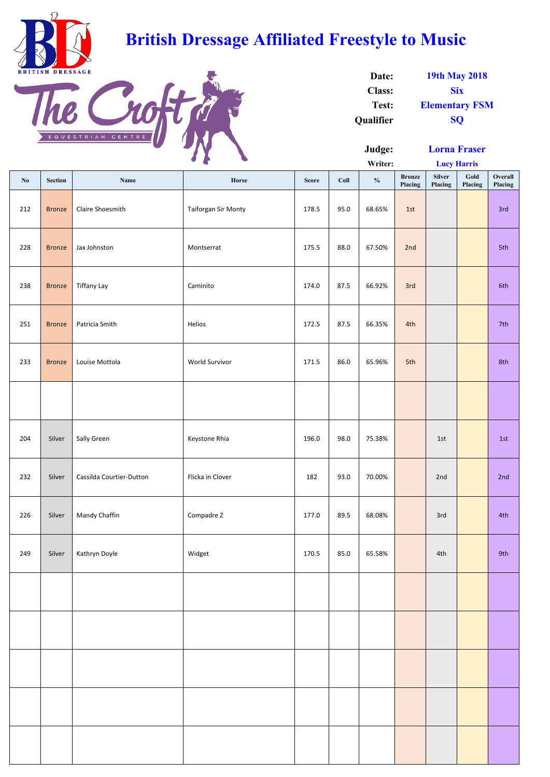|     |                |                          | $\bullet$ $\bullet$<br><b>Contract Contract Contract Contract</b> |              |      | Writer:       |                          |                          | <b>Lucy Harris</b> |                    |
|-----|----------------|--------------------------|-------------------------------------------------------------------|--------------|------|---------------|--------------------------|--------------------------|--------------------|--------------------|
| No  | <b>Section</b> | Name                     | Horse                                                             | <b>Score</b> | Coll | $\frac{0}{0}$ | <b>Bronze</b><br>Placing | <b>Silver</b><br>Placing | Gold<br>Placing    | Overall<br>Placing |
| 212 | <b>Bronze</b>  | Claire Shoesmith         | <b>Taiforgan Sir Monty</b>                                        | 178.5        | 95.0 | 68.65%        | 1st                      |                          |                    | 3rd                |
| 228 | <b>Bronze</b>  | Jax Johnston             | Montserrat                                                        | 175.5        | 88.0 | 67.50%        | 2nd                      |                          |                    | 5th                |
| 238 | <b>Bronze</b>  | <b>Tiffany Lay</b>       | Caminito                                                          | 174.0        | 87.5 | 66.92%        | 3rd                      |                          |                    | 6th                |
| 251 | <b>Bronze</b>  | Patricia Smith           | Helios                                                            | 172.5        | 87.5 | 66.35%        | 4th                      |                          |                    | 7th                |
| 233 | <b>Bronze</b>  | Louise Mottola           | World Survivor                                                    | 171.5        | 86.0 | 65.96%        | 5th                      |                          |                    | 8th                |
|     |                |                          |                                                                   |              |      |               |                          |                          |                    |                    |
| 204 | Silver         | Sally Green              | Keystone Rhia                                                     | 196.0        | 98.0 | 75.38%        |                          | 1st                      |                    | 1st                |
| 232 | Silver         | Cassilda Courtier-Dutton | Flicka in Clover                                                  | 182          | 93.0 | 70.00%        |                          | 2nd                      |                    | 2nd                |
| 226 | Silver         | Mandy Chaffin            | Compadre Z                                                        | 177.0        | 89.5 | 68.08%        |                          | 3rd                      |                    | 4th                |
| 249 | Silver         | Kathryn Doyle            | Widget                                                            | 170.5        | 85.0 | 65.58%        |                          | 4th                      |                    | 9th                |
|     |                |                          |                                                                   |              |      |               |                          |                          |                    |                    |
|     |                |                          |                                                                   |              |      |               |                          |                          |                    |                    |
|     |                |                          |                                                                   |              |      |               |                          |                          |                    |                    |
|     |                |                          |                                                                   |              |      |               |                          |                          |                    |                    |
|     |                |                          |                                                                   |              |      |               |                          |                          |                    |                    |

| Date:            | <b>19th May 2018</b>  |
|------------------|-----------------------|
| <b>Class:</b>    | <b>Six</b>            |
| Test:            | <b>Elementary FSM</b> |
| <b>Qualifier</b> | <b>SO</b>             |



## **British Dressage Affiliated Freestyle to Music**



**Lucy Harris Lorna Fraser**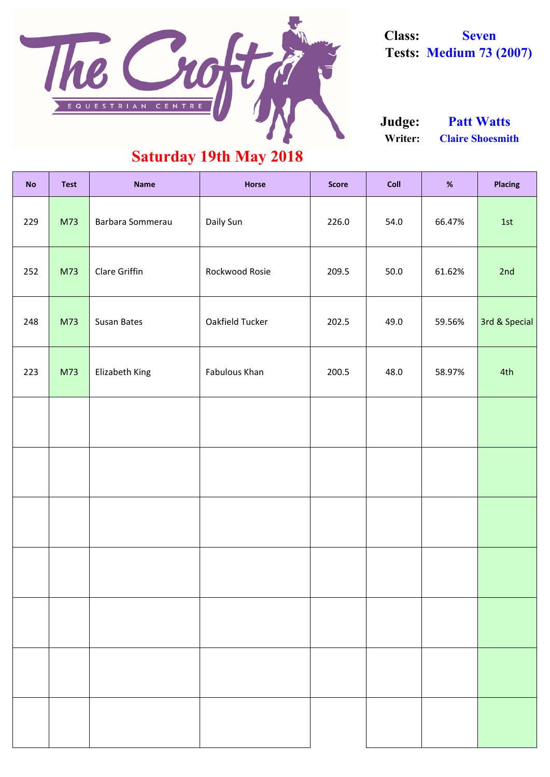| <b>No</b> | <b>Test</b> | <b>Name</b>          | <b>Horse</b>    | <b>Score</b> | <b>Coll</b> | %      | <b>Placing</b> |
|-----------|-------------|----------------------|-----------------|--------------|-------------|--------|----------------|
| 229       | M73         | Barbara Sommerau     | Daily Sun       | 226.0        | 54.0        | 66.47% | 1st            |
| 252       | M73         | <b>Clare Griffin</b> | Rockwood Rosie  | 209.5        | 50.0        | 61.62% | 2nd            |
| 248       | M73         | <b>Susan Bates</b>   | Oakfield Tucker | 202.5        | 49.0        | 59.56% | 3rd & Special  |
| 223       | M73         | Elizabeth King       | Fabulous Khan   | 200.5        | 48.0        | 58.97% | 4th            |
|           |             |                      |                 |              |             |        |                |
|           |             |                      |                 |              |             |        |                |
|           |             |                      |                 |              |             |        |                |
|           |             |                      |                 |              |             |        |                |

**Writer: Claire Shoesmith Judge: Patt Watts**

### **Saturday 19th May 2018**



**Class: Seven Tests: Medium 73 (2007)**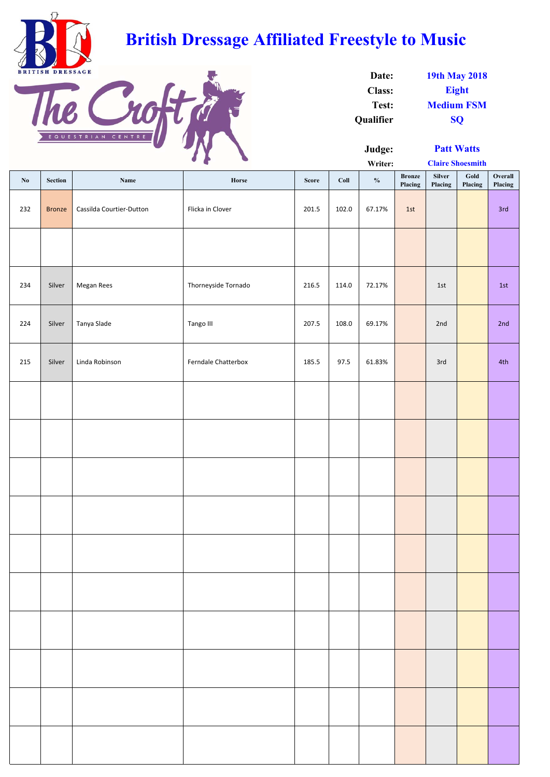|                        | $\bullet$      |                          |                     | Writer:      |       |               | <b>Claire Shoesmith</b>  |                   |                 |                    |
|------------------------|----------------|--------------------------|---------------------|--------------|-------|---------------|--------------------------|-------------------|-----------------|--------------------|
| $\mathbf{N}\mathbf{0}$ | <b>Section</b> | Name                     | Horse               | <b>Score</b> | Coll  | $\frac{0}{0}$ | <b>Bronze</b><br>Placing | Silver<br>Placing | Gold<br>Placing | Overall<br>Placing |
| 232                    | <b>Bronze</b>  | Cassilda Courtier-Dutton | Flicka in Clover    | 201.5        | 102.0 | 67.17%        | 1st                      |                   |                 | 3rd                |
|                        |                |                          |                     |              |       |               |                          |                   |                 |                    |
| 234                    | Silver         | Megan Rees               | Thorneyside Tornado | 216.5        | 114.0 | 72.17%        |                          | 1st               |                 | 1st                |
| 224                    | Silver         | Tanya Slade              | Tango III           | 207.5        | 108.0 | 69.17%        |                          | 2nd               |                 | 2nd                |
| 215                    | Silver         | Linda Robinson           | Ferndale Chatterbox | 185.5        | 97.5  | 61.83%        |                          | 3rd               |                 | 4th                |
|                        |                |                          |                     |              |       |               |                          |                   |                 |                    |
|                        |                |                          |                     |              |       |               |                          |                   |                 |                    |
|                        |                |                          |                     |              |       |               |                          |                   |                 |                    |
|                        |                |                          |                     |              |       |               |                          |                   |                 |                    |
|                        |                |                          |                     |              |       |               |                          |                   |                 |                    |
|                        |                |                          |                     |              |       |               |                          |                   |                 |                    |
|                        |                |                          |                     |              |       |               |                          |                   |                 |                    |
|                        |                |                          |                     |              |       |               |                          |                   |                 |                    |
|                        |                |                          |                     |              |       |               |                          |                   |                 |                    |
|                        |                |                          |                     |              |       |               |                          |                   |                 |                    |

| Date:            | <b>19th May 2018</b> |  |  |  |  |
|------------------|----------------------|--|--|--|--|
| <b>Class:</b>    | <b>Eight</b>         |  |  |  |  |
| Test:            | <b>Medium FSM</b>    |  |  |  |  |
| <b>Oualifier</b> | <b>SO</b>            |  |  |  |  |



# **British Dressage Affiliated Freestyle to Music**



**Claire Shoesmith Patt Watts**